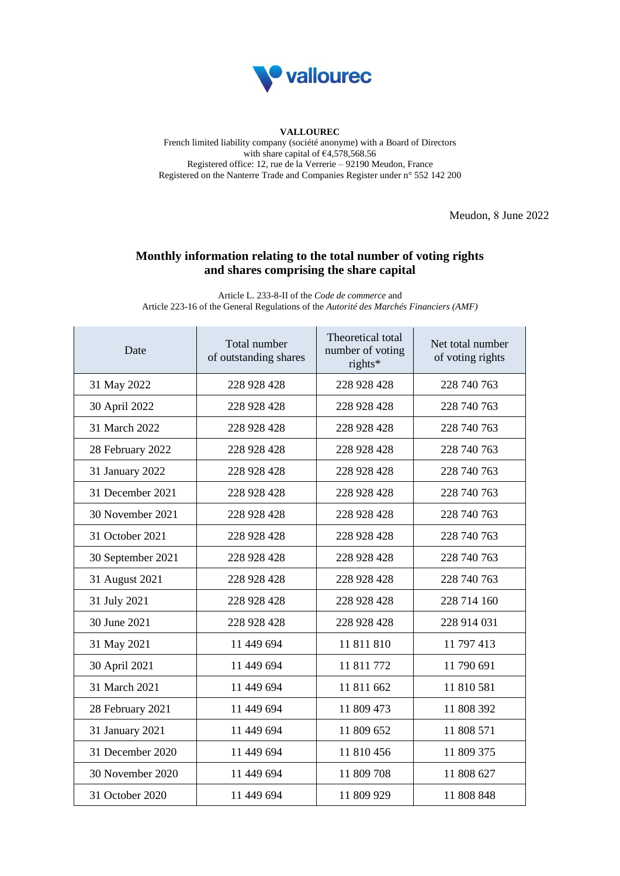

## **VALLOUREC**

French limited liability company (société anonyme) with a Board of Directors with share capital of  $64,578,568.56$ Registered office: 12, rue de la Verrerie – 92190 Meudon, France Registered on the Nanterre Trade and Companies Register under n° 552 142 200

Meudon, 8 June 2022

## **Monthly information relating to the total number of voting rights and shares comprising the share capital**

Article L. 233-8-II of the *Code de commerce* and Article 223-16 of the General Regulations of the *Autorité des Marchés Financiers (AMF)*

| Date              | Total number<br>of outstanding shares | Theoretical total<br>number of voting<br>rights* | Net total number<br>of voting rights |
|-------------------|---------------------------------------|--------------------------------------------------|--------------------------------------|
| 31 May 2022       | 228 928 428                           | 228 928 428                                      | 228 740 763                          |
| 30 April 2022     | 228 928 428                           | 228 928 428                                      | 228 740 763                          |
| 31 March 2022     | 228 928 428                           | 228 928 428                                      | 228 740 763                          |
| 28 February 2022  | 228 928 428                           | 228 928 428                                      | 228 740 763                          |
| 31 January 2022   | 228 928 428                           | 228 928 428                                      | 228 740 763                          |
| 31 December 2021  | 228 928 428                           | 228 928 428                                      | 228 740 763                          |
| 30 November 2021  | 228 928 428                           | 228 928 428                                      | 228 740 763                          |
| 31 October 2021   | 228 928 428                           | 228 928 428                                      | 228 740 763                          |
| 30 September 2021 | 228 928 428                           | 228 928 428                                      | 228 740 763                          |
| 31 August 2021    | 228 928 428                           | 228 928 428                                      | 228 740 763                          |
| 31 July 2021      | 228 928 428                           | 228 928 428                                      | 228 714 160                          |
| 30 June 2021      | 228 928 428                           | 228 928 428                                      | 228 914 031                          |
| 31 May 2021       | 11 449 694                            | 11 811 810                                       | 11 797 413                           |
| 30 April 2021     | 11 449 694                            | 11 811 772                                       | 11 790 691                           |
| 31 March 2021     | 11 449 694                            | 11 811 662                                       | 11 810 581                           |
| 28 February 2021  | 11 449 694                            | 11 809 473                                       | 11 808 392                           |
| 31 January 2021   | 11 449 694                            | 11 809 652                                       | 11 808 571                           |
| 31 December 2020  | 11 449 694                            | 11 810 456                                       | 11 809 375                           |
| 30 November 2020  | 11 449 694                            | 11 809 708                                       | 11 808 627                           |
| 31 October 2020   | 11 449 694                            | 11 809 929                                       | 11 808 848                           |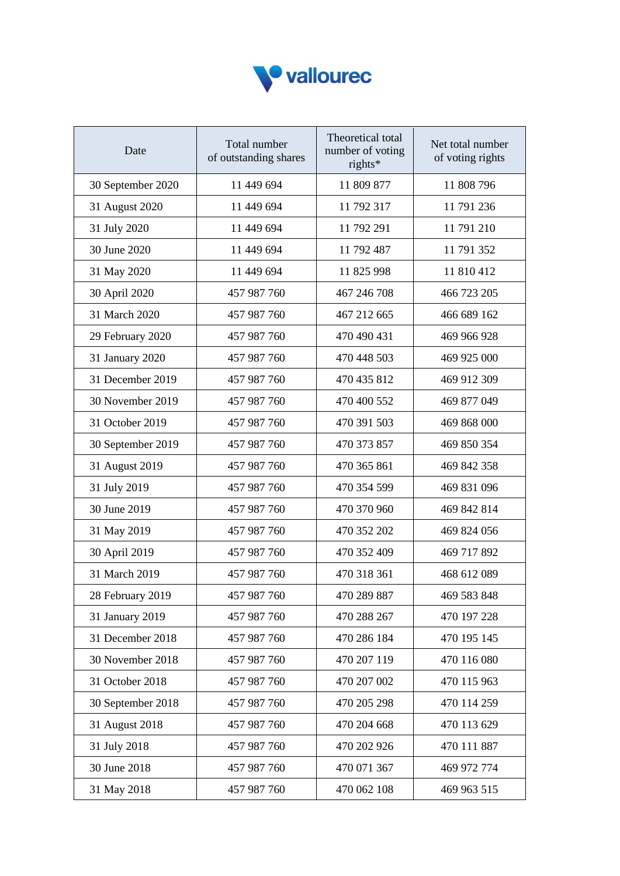

| Date              | Total number<br>of outstanding shares | Theoretical total<br>number of voting<br>rights* | Net total number<br>of voting rights |
|-------------------|---------------------------------------|--------------------------------------------------|--------------------------------------|
| 30 September 2020 | 11 449 694                            | 11 809 877                                       | 11 808 796                           |
| 31 August 2020    | 11 449 694                            | 11 792 317                                       | 11 791 236                           |
| 31 July 2020      | 11 449 694                            | 11 792 291                                       | 11 791 210                           |
| 30 June 2020      | 11 449 694                            | 11 792 487                                       | 11 791 352                           |
| 31 May 2020       | 11 449 694                            | 11 825 998                                       | 11 810 412                           |
| 30 April 2020     | 457 987 760                           | 467 246 708                                      | 466 723 205                          |
| 31 March 2020     | 457 987 760                           | 467 212 665                                      | 466 689 162                          |
| 29 February 2020  | 457 987 760                           | 470 490 431                                      | 469 966 928                          |
| 31 January 2020   | 457 987 760                           | 470 448 503                                      | 469 925 000                          |
| 31 December 2019  | 457 987 760                           | 470 435 812                                      | 469 912 309                          |
| 30 November 2019  | 457 987 760                           | 470 400 552                                      | 469 877 049                          |
| 31 October 2019   | 457 987 760                           | 470 391 503                                      | 469 868 000                          |
| 30 September 2019 | 457 987 760                           | 470 373 857                                      | 469 850 354                          |
| 31 August 2019    | 457 987 760                           | 470 365 861                                      | 469 842 358                          |
| 31 July 2019      | 457 987 760                           | 470 354 599                                      | 469 831 096                          |
| 30 June 2019      | 457 987 760                           | 470 370 960                                      | 469 842 814                          |
| 31 May 2019       | 457 987 760                           | 470 352 202                                      | 469 824 056                          |
| 30 April 2019     | 457 987 760                           | 470 352 409                                      | 469 717 892                          |
| 31 March 2019     | 457 987 760                           | 470 318 361                                      | 468 612 089                          |
| 28 February 2019  | 457 987 760                           | 470 289 887                                      | 469 583 848                          |
| 31 January 2019   | 457 987 760                           | 470 288 267                                      | 470 197 228                          |
| 31 December 2018  | 457 987 760                           | 470 286 184                                      | 470 195 145                          |
| 30 November 2018  | 457 987 760                           | 470 207 119                                      | 470 116 080                          |
| 31 October 2018   | 457 987 760                           | 470 207 002                                      | 470 115 963                          |
| 30 September 2018 | 457 987 760                           | 470 205 298                                      | 470 114 259                          |
| 31 August 2018    | 457 987 760                           | 470 204 668                                      | 470 113 629                          |
| 31 July 2018      | 457 987 760                           | 470 202 926                                      | 470 111 887                          |
| 30 June 2018      | 457 987 760                           | 470 071 367                                      | 469 972 774                          |
| 31 May 2018       | 457 987 760                           | 470 062 108                                      | 469 963 515                          |